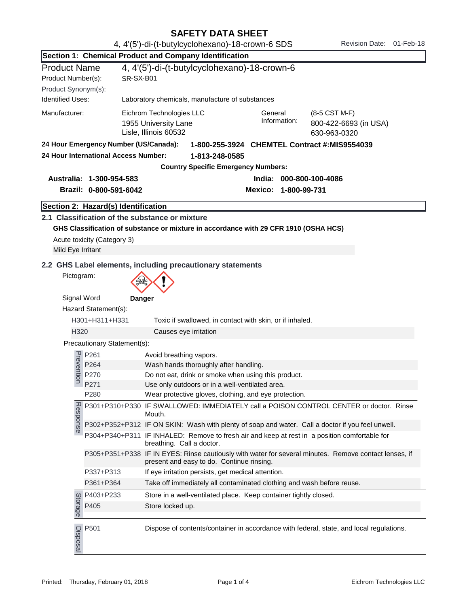| <b>SAFETY DATA SHEET</b> |  |
|--------------------------|--|
|                          |  |

| Section 1: Chemical Product and Company Identification |                                                                                        |                                                                                                                                                                |  |  |  |
|--------------------------------------------------------|----------------------------------------------------------------------------------------|----------------------------------------------------------------------------------------------------------------------------------------------------------------|--|--|--|
| <b>Product Name</b>                                    |                                                                                        | 4, 4'(5')-di-(t-butylcyclohexano)-18-crown-6                                                                                                                   |  |  |  |
| Product Number(s):                                     | SR-SX-B01                                                                              |                                                                                                                                                                |  |  |  |
| Product Synonym(s):                                    |                                                                                        |                                                                                                                                                                |  |  |  |
| <b>Identified Uses:</b>                                |                                                                                        | Laboratory chemicals, manufacture of substances                                                                                                                |  |  |  |
| Manufacturer:                                          |                                                                                        | Eichrom Technologies LLC<br>General<br>(8-5 CST M-F)<br>Information:<br>1955 University Lane<br>800-422-6693 (in USA)<br>Lisle, Illinois 60532<br>630-963-0320 |  |  |  |
|                                                        | 24 Hour Emergency Number (US/Canada):<br>1-800-255-3924 CHEMTEL Contract #: MIS9554039 |                                                                                                                                                                |  |  |  |
| 24 Hour International Access Number:<br>1-813-248-0585 |                                                                                        |                                                                                                                                                                |  |  |  |
|                                                        |                                                                                        | <b>Country Specific Emergency Numbers:</b>                                                                                                                     |  |  |  |
|                                                        | Australia: 1-300-954-583                                                               | India: 000-800-100-4086                                                                                                                                        |  |  |  |
|                                                        | Brazil: 0-800-591-6042                                                                 | Mexico: 1-800-99-731                                                                                                                                           |  |  |  |
|                                                        |                                                                                        |                                                                                                                                                                |  |  |  |
|                                                        | Section 2: Hazard(s) Identification                                                    | 2.1 Classification of the substance or mixture                                                                                                                 |  |  |  |
|                                                        |                                                                                        |                                                                                                                                                                |  |  |  |
|                                                        |                                                                                        | GHS Classification of substance or mixture in accordance with 29 CFR 1910 (OSHA HCS)                                                                           |  |  |  |
|                                                        | Acute toxicity (Category 3)                                                            |                                                                                                                                                                |  |  |  |
| Mild Eye Irritant                                      |                                                                                        |                                                                                                                                                                |  |  |  |
|                                                        |                                                                                        | 2.2 GHS Label elements, including precautionary statements                                                                                                     |  |  |  |
| Pictogram:                                             |                                                                                        |                                                                                                                                                                |  |  |  |
|                                                        |                                                                                        |                                                                                                                                                                |  |  |  |
| Signal Word                                            |                                                                                        | Danger                                                                                                                                                         |  |  |  |
|                                                        | Hazard Statement(s):                                                                   |                                                                                                                                                                |  |  |  |
|                                                        | H301+H311+H331                                                                         | Toxic if swallowed, in contact with skin, or if inhaled.                                                                                                       |  |  |  |
|                                                        | H320<br>Causes eye irritation                                                          |                                                                                                                                                                |  |  |  |
|                                                        | Precautionary Statement(s):                                                            |                                                                                                                                                                |  |  |  |
|                                                        | P261                                                                                   | Avoid breathing vapors.                                                                                                                                        |  |  |  |
| Prevention                                             | P264                                                                                   | Wash hands thoroughly after handling.                                                                                                                          |  |  |  |
|                                                        | P270                                                                                   | Do not eat, drink or smoke when using this product.                                                                                                            |  |  |  |
|                                                        | P271                                                                                   | Use only outdoors or in a well-ventilated area.                                                                                                                |  |  |  |
|                                                        | P280                                                                                   | Wear protective gloves, clothing, and eye protection.                                                                                                          |  |  |  |
| Response                                               |                                                                                        | P301+P310+P330 IF SWALLOWED: IMMEDIATELY call a POISON CONTROL CENTER or doctor. Rinse<br>Mouth.                                                               |  |  |  |
|                                                        |                                                                                        | P302+P352+P312 IF ON SKIN: Wash with plenty of soap and water. Call a doctor if you feel unwell.                                                               |  |  |  |
|                                                        |                                                                                        | P304+P340+P311 IF INHALED: Remove to fresh air and keep at rest in a position comfortable for<br>breathing. Call a doctor.                                     |  |  |  |
|                                                        |                                                                                        | P305+P351+P338 IF IN EYES: Rinse cautiously with water for several minutes. Remove contact lenses, if<br>present and easy to do. Continue rinsing.             |  |  |  |
|                                                        | P337+P313                                                                              | If eye irritation persists, get medical attention.                                                                                                             |  |  |  |
|                                                        | P361+P364                                                                              | Take off immediately all contaminated clothing and wash before reuse.                                                                                          |  |  |  |
| Storage                                                | P403+P233                                                                              | Store in a well-ventilated place. Keep container tightly closed.                                                                                               |  |  |  |
|                                                        | P405                                                                                   | Store locked up.                                                                                                                                               |  |  |  |
|                                                        |                                                                                        |                                                                                                                                                                |  |  |  |
|                                                        | $\frac{1}{20}$ P501<br>$\frac{1}{20}$                                                  | Dispose of contents/container in accordance with federal, state, and local regulations.                                                                        |  |  |  |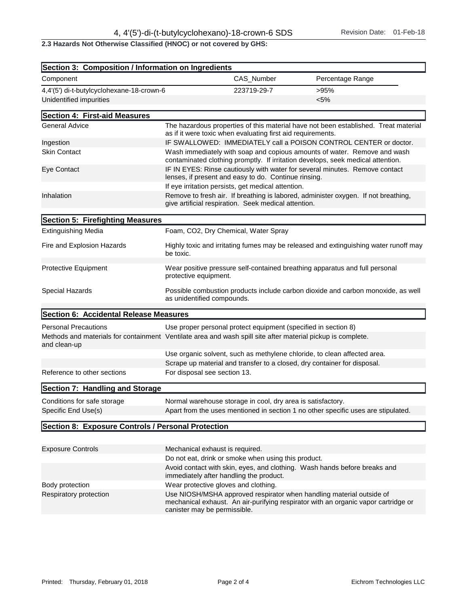2.3 Hazards Not Otherwise Classified (HNOC) or not covered by GHS:

| Section 3: Composition / Information on Ingredients                                                                         |                                                                                                                                                             |                                                                          |                                                                                                                                                            |
|-----------------------------------------------------------------------------------------------------------------------------|-------------------------------------------------------------------------------------------------------------------------------------------------------------|--------------------------------------------------------------------------|------------------------------------------------------------------------------------------------------------------------------------------------------------|
|                                                                                                                             |                                                                                                                                                             |                                                                          |                                                                                                                                                            |
| Component                                                                                                                   |                                                                                                                                                             | CAS_Number                                                               | Percentage Range                                                                                                                                           |
| 4,4'(5') di-t-butylcyclohexane-18-crown-6                                                                                   |                                                                                                                                                             | 223719-29-7                                                              | >95%                                                                                                                                                       |
| Unidentified impurities                                                                                                     |                                                                                                                                                             |                                                                          | $< 5\%$                                                                                                                                                    |
| Section 4: First-aid Measures                                                                                               |                                                                                                                                                             |                                                                          |                                                                                                                                                            |
| <b>General Advice</b>                                                                                                       |                                                                                                                                                             | as if it were toxic when evaluating first aid requirements.              | The hazardous properties of this material have not been established. Treat material                                                                        |
| Ingestion                                                                                                                   | IF SWALLOWED: IMMEDIATELY call a POISON CONTROL CENTER or doctor.                                                                                           |                                                                          |                                                                                                                                                            |
| <b>Skin Contact</b>                                                                                                         | Wash immediately with soap and copious amounts of water. Remove and wash<br>contaminated clothing promptly. If irritation develops, seek medical attention. |                                                                          |                                                                                                                                                            |
| Eye Contact                                                                                                                 | IF IN EYES: Rinse cautiously with water for several minutes. Remove contact<br>lenses, if present and easy to do. Continue rinsing.                         |                                                                          |                                                                                                                                                            |
|                                                                                                                             |                                                                                                                                                             | If eye irritation persists, get medical attention.                       |                                                                                                                                                            |
| Inhalation                                                                                                                  |                                                                                                                                                             | give artificial respiration. Seek medical attention.                     | Remove to fresh air. If breathing is labored, administer oxygen. If not breathing,                                                                         |
| Section 5: Firefighting Measures                                                                                            |                                                                                                                                                             |                                                                          |                                                                                                                                                            |
| <b>Extinguishing Media</b>                                                                                                  | Foam, CO2, Dry Chemical, Water Spray                                                                                                                        |                                                                          |                                                                                                                                                            |
| Fire and Explosion Hazards                                                                                                  | be toxic.                                                                                                                                                   |                                                                          | Highly toxic and irritating fumes may be released and extinguishing water runoff may                                                                       |
| Protective Equipment                                                                                                        | protective equipment.                                                                                                                                       |                                                                          | Wear positive pressure self-contained breathing apparatus and full personal                                                                                |
| Special Hazards                                                                                                             | as unidentified compounds.                                                                                                                                  |                                                                          | Possible combustion products include carbon dioxide and carbon monoxide, as well                                                                           |
| Section 6: Accidental Release Measures                                                                                      |                                                                                                                                                             |                                                                          |                                                                                                                                                            |
| <b>Personal Precautions</b>                                                                                                 |                                                                                                                                                             | Use proper personal protect equipment (specified in section 8)           |                                                                                                                                                            |
| Methods and materials for containment Ventilate area and wash spill site after material pickup is complete.<br>and clean-up |                                                                                                                                                             |                                                                          |                                                                                                                                                            |
|                                                                                                                             |                                                                                                                                                             |                                                                          | Use organic solvent, such as methylene chloride, to clean affected area.                                                                                   |
|                                                                                                                             |                                                                                                                                                             | Scrape up material and transfer to a closed, dry container for disposal. |                                                                                                                                                            |
| Reference to other sections                                                                                                 | For disposal see section 13.                                                                                                                                |                                                                          |                                                                                                                                                            |
| Section 7: Handling and Storage                                                                                             |                                                                                                                                                             |                                                                          |                                                                                                                                                            |
| Conditions for safe storage                                                                                                 |                                                                                                                                                             | Normal warehouse storage in cool, dry area is satisfactory.              |                                                                                                                                                            |
| Specific End Use(s)                                                                                                         |                                                                                                                                                             |                                                                          | Apart from the uses mentioned in section 1 no other specific uses are stipulated.                                                                          |
| Section 8: Exposure Controls / Personal Protection                                                                          |                                                                                                                                                             |                                                                          |                                                                                                                                                            |
|                                                                                                                             |                                                                                                                                                             |                                                                          |                                                                                                                                                            |
| <b>Exposure Controls</b>                                                                                                    | Mechanical exhaust is required.                                                                                                                             |                                                                          |                                                                                                                                                            |
|                                                                                                                             |                                                                                                                                                             | Do not eat, drink or smoke when using this product.                      |                                                                                                                                                            |
|                                                                                                                             | immediately after handling the product.                                                                                                                     |                                                                          | Avoid contact with skin, eyes, and clothing. Wash hands before breaks and                                                                                  |
| Body protection<br>Respiratory protection                                                                                   | Wear protective gloves and clothing.                                                                                                                        |                                                                          | Use NIOSH/MSHA approved respirator when handling material outside of<br>mechanical exhaust. An air-purifying respirator with an organic vapor cartridge or |
|                                                                                                                             | canister may be permissible.                                                                                                                                |                                                                          |                                                                                                                                                            |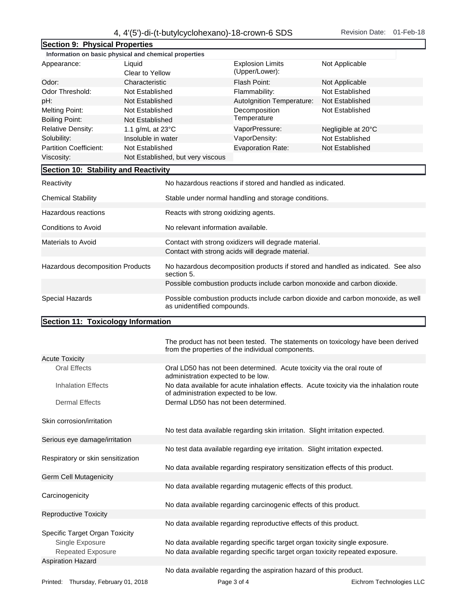## 4, 4'(5')-di-(t-butylcyclohexano)-18-crown-6 SDS Revision Date: 01-Feb-18

| Section 9: Physical Properties                        |                       |                                                                          |                                                                                  |                                                                                  |  |
|-------------------------------------------------------|-----------------------|--------------------------------------------------------------------------|----------------------------------------------------------------------------------|----------------------------------------------------------------------------------|--|
| Information on basic physical and chemical properties |                       |                                                                          |                                                                                  |                                                                                  |  |
| Appearance:                                           | Liquid                |                                                                          | <b>Explosion Limits</b>                                                          | Not Applicable                                                                   |  |
| Clear to Yellow                                       |                       |                                                                          | (Upper/Lower):                                                                   |                                                                                  |  |
| Odor:                                                 | Characteristic        |                                                                          | Flash Point:                                                                     | Not Applicable                                                                   |  |
| Odor Threshold:                                       | Not Established       |                                                                          | Flammability:                                                                    | Not Established                                                                  |  |
| pH:                                                   | Not Established       |                                                                          | Autolgnition Temperature:                                                        | <b>Not Established</b>                                                           |  |
| <b>Melting Point:</b>                                 | Not Established       |                                                                          | Decomposition                                                                    | Not Established                                                                  |  |
| <b>Boiling Point:</b>                                 | Not Established       |                                                                          | Temperature                                                                      |                                                                                  |  |
| <b>Relative Density:</b>                              | 1.1 $g/mL$ at 23 $°C$ |                                                                          | VaporPressure:                                                                   | Negligible at 20°C                                                               |  |
| Solubility:                                           | Insoluble in water    |                                                                          | VaporDensity:                                                                    | Not Established                                                                  |  |
| <b>Partition Coefficient:</b>                         | Not Established       |                                                                          | Evaporation Rate:                                                                | <b>Not Established</b>                                                           |  |
| Viscosity:                                            |                       | Not Established, but very viscous                                        |                                                                                  |                                                                                  |  |
| Section 10: Stability and Reactivity                  |                       |                                                                          |                                                                                  |                                                                                  |  |
| Reactivity                                            |                       |                                                                          | No hazardous reactions if stored and handled as indicated.                       |                                                                                  |  |
| <b>Chemical Stability</b>                             |                       |                                                                          | Stable under normal handling and storage conditions.                             |                                                                                  |  |
| Hazardous reactions                                   |                       |                                                                          | Reacts with strong oxidizing agents.                                             |                                                                                  |  |
| Conditions to Avoid                                   |                       | No relevant information available.                                       |                                                                                  |                                                                                  |  |
| <b>Materials to Avoid</b>                             |                       | Contact with strong oxidizers will degrade material.                     |                                                                                  |                                                                                  |  |
|                                                       |                       | Contact with strong acids will degrade material.                         |                                                                                  |                                                                                  |  |
| Hazardous decomposition Products                      |                       | section 5.                                                               | No hazardous decomposition products if stored and handled as indicated. See also |                                                                                  |  |
|                                                       |                       | Possible combustion products include carbon monoxide and carbon dioxide. |                                                                                  |                                                                                  |  |
| Special Hazards                                       |                       | as unidentified compounds.                                               |                                                                                  | Possible combustion products include carbon dioxide and carbon monoxide, as well |  |
| Section 11: Toxicology Information                    |                       |                                                                          |                                                                                  |                                                                                  |  |

## Section 11: Toxicology Information

|                                      | The product has not been tested. The statements on toxicology have been derived<br>from the properties of the individual components. |                          |
|--------------------------------------|--------------------------------------------------------------------------------------------------------------------------------------|--------------------------|
| <b>Acute Toxicity</b>                |                                                                                                                                      |                          |
| <b>Oral Effects</b>                  | Oral LD50 has not been determined. Acute toxicity via the oral route of<br>administration expected to be low.                        |                          |
| <b>Inhalation Effects</b>            | No data available for acute inhalation effects. Acute toxicity via the inhalation route<br>of administration expected to be low.     |                          |
| <b>Dermal Effects</b>                | Dermal LD50 has not been determined.                                                                                                 |                          |
| Skin corrosion/irritation            |                                                                                                                                      |                          |
|                                      | No test data available regarding skin irritation. Slight irritation expected.                                                        |                          |
| Serious eye damage/irritation        |                                                                                                                                      |                          |
| Respiratory or skin sensitization    | No test data available regarding eye irritation. Slight irritation expected.                                                         |                          |
|                                      | No data available regarding respiratory sensitization effects of this product.                                                       |                          |
| Germ Cell Mutagenicity               |                                                                                                                                      |                          |
| Carcinogenicity                      | No data available regarding mutagenic effects of this product.                                                                       |                          |
|                                      | No data available regarding carcinogenic effects of this product.                                                                    |                          |
| <b>Reproductive Toxicity</b>         |                                                                                                                                      |                          |
|                                      | No data available regarding reproductive effects of this product.                                                                    |                          |
| Specific Target Organ Toxicity       |                                                                                                                                      |                          |
| Single Exposure                      | No data available regarding specific target organ toxicity single exposure.                                                          |                          |
| <b>Repeated Exposure</b>             | No data available regarding specific target organ toxicity repeated exposure.                                                        |                          |
| <b>Aspiration Hazard</b>             |                                                                                                                                      |                          |
|                                      | No data available regarding the aspiration hazard of this product.                                                                   |                          |
| Printed: Thursday, February 01, 2018 | Page 3 of 4                                                                                                                          | Eichrom Technologies LLC |